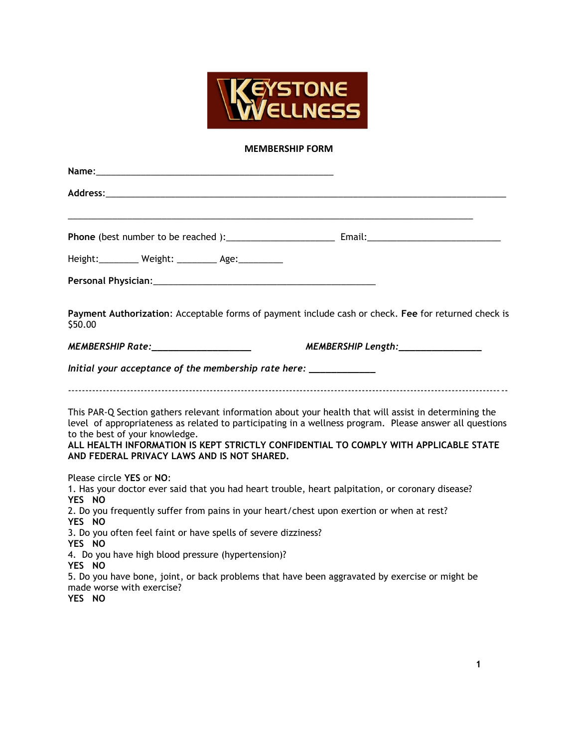

## **MEMBERSHIP FORM**

| Name: Name and the state of the state of the state of the state of the state of the state of the state of the state of the state of the state of the state of the state of the state of the state of the state of the state of |
|--------------------------------------------------------------------------------------------------------------------------------------------------------------------------------------------------------------------------------|
|                                                                                                                                                                                                                                |
|                                                                                                                                                                                                                                |
| Height: _________ Weight: _________ Age: _________                                                                                                                                                                             |
|                                                                                                                                                                                                                                |
| Payment Authorization: Acceptable forms of payment include cash or check. Fee for returned check is<br>\$50.00                                                                                                                 |
| MEMBERSHIP Rate:____________________                                                                                                                                                                                           |
| Initial your acceptance of the membership rate here: _____________                                                                                                                                                             |
| This PAR-Q Section gathers relevant information about your health that will assist in determining the<br>level of appropriateness as related to participating in a wellness program. Please answer all questions               |
| to the best of your knowledge.<br>ALL HEALTH INFORMATION IS KEPT STRICTLY CONFIDENTIAL TO COMPLY WITH APPLICABLE STATE<br>AND FEDERAL PRIVACY LAWS AND IS NOT SHARED.                                                          |
| Please circle YES or NO:<br>1. Has your doctor ever said that you had heart trouble, heart palpitation, or coronary disease?<br>YES NO                                                                                         |
| 2. Do you frequently suffer from pains in your heart/chest upon exertion or when at rest?<br>YES NO                                                                                                                            |
| 3. Do you often feel faint or have spells of severe dizziness?<br>YES NO                                                                                                                                                       |
| 4. Do you have high blood pressure (hypertension)?<br>YES NO                                                                                                                                                                   |
| 5. Do you have bone, joint, or back problems that have been aggravated by exercise or might be<br>made worse with exercise?<br>YES NO                                                                                          |